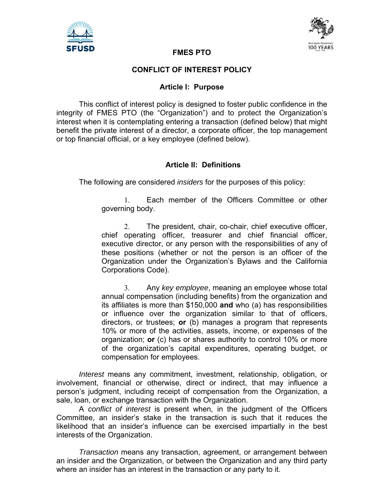



#### **FMES PTO**

#### **CONFLICT OF INTEREST POLICY**

#### **Article I: Purpose**

This conflict of interest policy is designed to foster public confidence in the integrity of FMES PTO (the "Organization") and to protect the Organization's interest when it is contemplating entering a transaction (defined below) that might benefit the private interest of a director, a corporate officer, the top management or top financial official, or a key employee (defined below).

## **Article II: Definitions**

The following are considered *insiders* for the purposes of this policy:

 Each member of the Officers Committee or other governing body.

 The president, chair, co-chair, chief executive officer, chief operating officer, treasurer and chief financial officer, executive director, or any person with the responsibilities of any of these positions (whether or not the person is an officer of the Organization under the Organization's Bylaws and the California Corporations Code).

 Any *key employee*, meaning an employee whose total annual compensation (including benefits) from the organization and its affiliates is more than \$150,000 **and** who (a) has responsibilities or influence over the organization similar to that of officers, directors, or trustees; **or** (b) manages a program that represents 10% or more of the activities, assets, income, or expenses of the organization; **or** (c) has or shares authority to control 10% or more of the organization's capital expenditures, operating budget, or compensation for employees.

*Interest* means any commitment, investment, relationship, obligation, or involvement, financial or otherwise, direct or indirect, that may influence a person's judgment, including receipt of compensation from the Organization, a sale, loan, or exchange transaction with the Organization.

A *conflict of interest* is present when, in the judgment of the Officers Committee, an insider's stake in the transaction is such that it reduces the likelihood that an insider's influence can be exercised impartially in the best interests of the Organization.

*Transaction* means any transaction, agreement, or arrangement between an insider and the Organization, or between the Organization and any third party where an insider has an interest in the transaction or any party to it.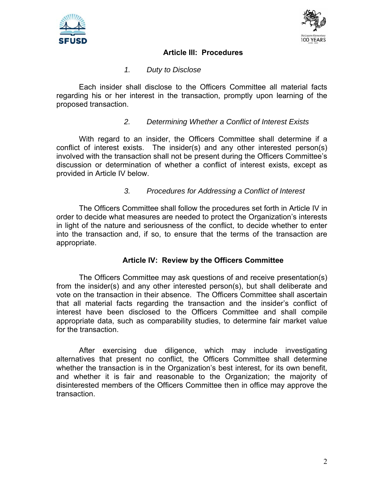



# **Article III: Procedures**

# *1. Duty to Disclose*

Each insider shall disclose to the Officers Committee all material facts regarding his or her interest in the transaction, promptly upon learning of the proposed transaction.

# *2. Determining Whether a Conflict of Interest Exists*

With regard to an insider, the Officers Committee shall determine if a conflict of interest exists. The insider(s) and any other interested person(s) involved with the transaction shall not be present during the Officers Committee's discussion or determination of whether a conflict of interest exists, except as provided in Article IV below.

## *3. Procedures for Addressing a Conflict of Interest*

The Officers Committee shall follow the procedures set forth in Article IV in order to decide what measures are needed to protect the Organization's interests in light of the nature and seriousness of the conflict, to decide whether to enter into the transaction and, if so, to ensure that the terms of the transaction are appropriate.

## **Article IV: Review by the Officers Committee**

The Officers Committee may ask questions of and receive presentation(s) from the insider(s) and any other interested person(s), but shall deliberate and vote on the transaction in their absence. The Officers Committee shall ascertain that all material facts regarding the transaction and the insider's conflict of interest have been disclosed to the Officers Committee and shall compile appropriate data, such as comparability studies, to determine fair market value for the transaction.

After exercising due diligence, which may include investigating alternatives that present no conflict, the Officers Committee shall determine whether the transaction is in the Organization's best interest, for its own benefit, and whether it is fair and reasonable to the Organization; the majority of disinterested members of the Officers Committee then in office may approve the transaction.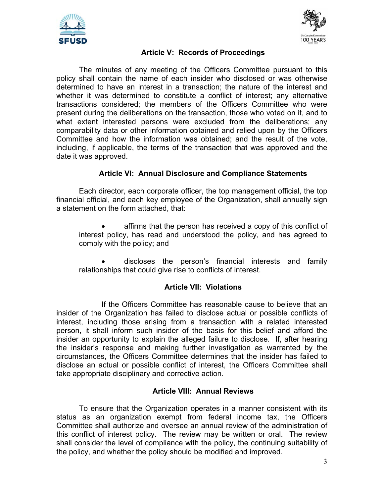



# **Article V: Records of Proceedings**

The minutes of any meeting of the Officers Committee pursuant to this policy shall contain the name of each insider who disclosed or was otherwise determined to have an interest in a transaction; the nature of the interest and whether it was determined to constitute a conflict of interest; any alternative transactions considered; the members of the Officers Committee who were present during the deliberations on the transaction, those who voted on it, and to what extent interested persons were excluded from the deliberations; any comparability data or other information obtained and relied upon by the Officers Committee and how the information was obtained; and the result of the vote, including, if applicable, the terms of the transaction that was approved and the date it was approved.

## **Article VI: Annual Disclosure and Compliance Statements**

Each director, each corporate officer, the top management official, the top financial official, and each key employee of the Organization, shall annually sign a statement on the form attached, that:

 affirms that the person has received a copy of this conflict of interest policy, has read and understood the policy, and has agreed to comply with the policy; and

 discloses the person's financial interests and family relationships that could give rise to conflicts of interest.

## **Article VII: Violations**

 If the Officers Committee has reasonable cause to believe that an insider of the Organization has failed to disclose actual or possible conflicts of interest, including those arising from a transaction with a related interested person, it shall inform such insider of the basis for this belief and afford the insider an opportunity to explain the alleged failure to disclose. If, after hearing the insider's response and making further investigation as warranted by the circumstances, the Officers Committee determines that the insider has failed to disclose an actual or possible conflict of interest, the Officers Committee shall take appropriate disciplinary and corrective action.

## **Article VIII: Annual Reviews**

To ensure that the Organization operates in a manner consistent with its status as an organization exempt from federal income tax, the Officers Committee shall authorize and oversee an annual review of the administration of this conflict of interest policy. The review may be written or oral. The review shall consider the level of compliance with the policy, the continuing suitability of the policy, and whether the policy should be modified and improved.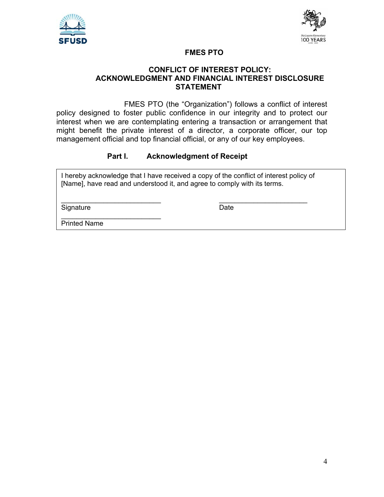



## **FMES PTO**

#### **CONFLICT OF INTEREST POLICY: ACKNOWLEDGMENT AND FINANCIAL INTEREST DISCLOSURE STATEMENT**

 FMES PTO (the "Organization") follows a conflict of interest policy designed to foster public confidence in our integrity and to protect our interest when we are contemplating entering a transaction or arrangement that might benefit the private interest of a director, a corporate officer, our top management official and top financial official, or any of our key employees.

# **Part I. Acknowledgment of Receipt**

I hereby acknowledge that I have received a copy of the conflict of interest policy of [Name], have read and understood it, and agree to comply with its terms.

 $\mathcal{L}_\text{max}$  , and the contract of the contract of the contract of the contract of the contract of the contract of the contract of the contract of the contract of the contract of the contract of the contract of the contr

Signature Date Date

Printed Name

 $\mathcal{L}_\text{max}$  , where  $\mathcal{L}_\text{max}$  is the set of the set of the set of the set of the set of the set of the set of the set of the set of the set of the set of the set of the set of the set of the set of the set of the se